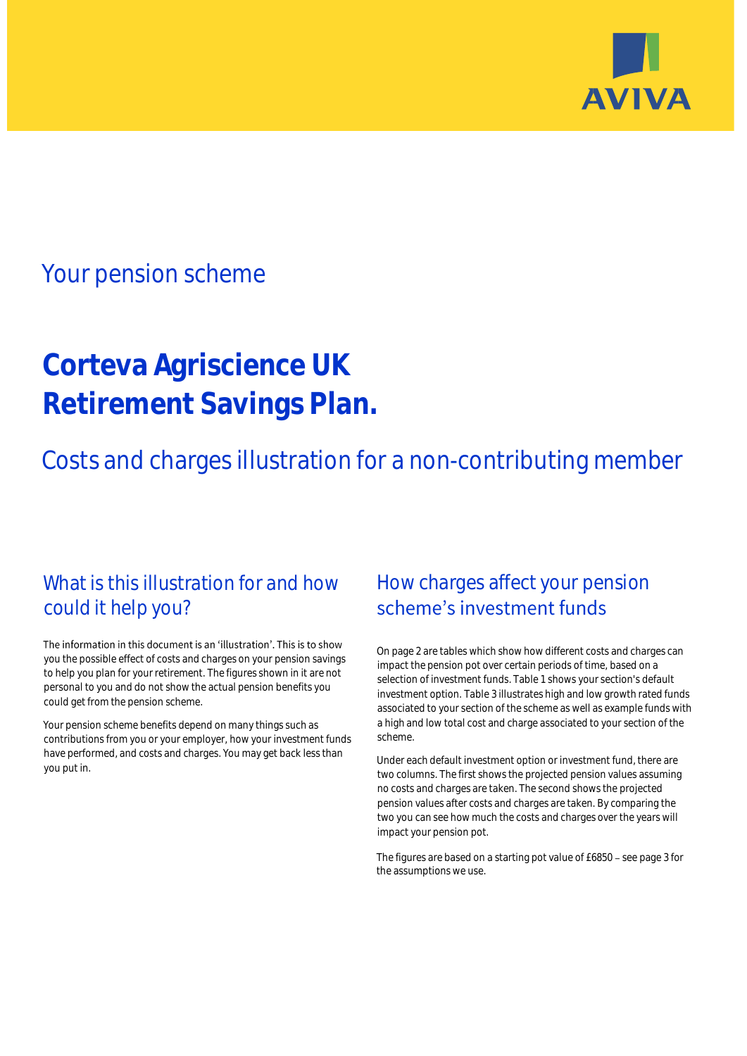

# Your pension scheme

# **Corteva Agriscience UK Retirement Savings Plan.**

Costs and charges illustration for a non-contributing member

# What is this illustration for and how could it help you?

### The information in this document is an 'illustration'. This is to show you the possible effect of costs and charges on your pension savings to help you plan for your retirement. The figures shown in it are not personal to you and do not show the actual pension benefits you could get from the pension scheme.

Your pension scheme benefits depend on many things such as contributions from you or your employer, how your investment funds have performed, and costs and charges. You may get back less than you put in.

# How charges affect your pension scheme's investment funds

On page 2 are tables which show how different costs and charges can impact the pension pot over certain periods of time, based on a selection of investment funds. Table 1 shows your section's default investment option. Table 3 illustrates high and low growth rated funds associated to your section of the scheme as well as example funds with a high and low total cost and charge associated to your section of the scheme.

Under each default investment option or investment fund, there are two columns. The first shows the projected pension values assuming no costs and charges are taken. The second shows the projected pension values after costs and charges are taken. By comparing the two you can see how much the costs and charges over the years will impact your pension pot.

The figures are based on a starting pot value of £6850 - see page 3 for the assumptions we use.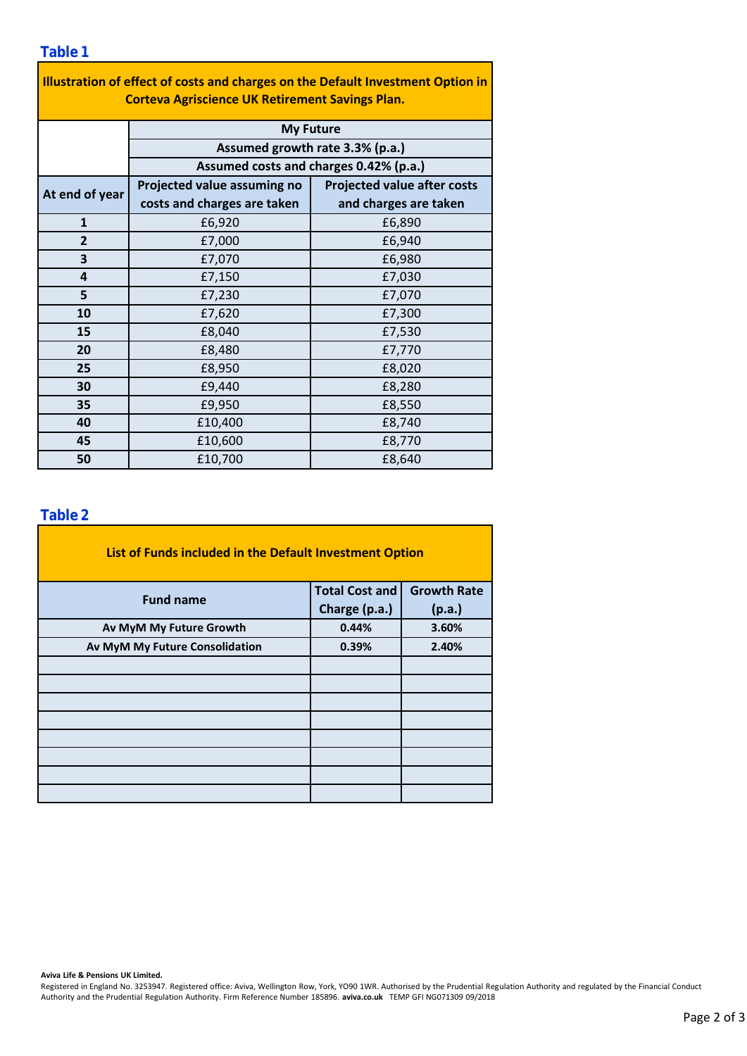| Illustration of effect of costs and charges on the Default Investment Option in<br><b>Corteva Agriscience UK Retirement Savings Plan.</b> |                                                                           |                                    |  |  |  |  |  |  |
|-------------------------------------------------------------------------------------------------------------------------------------------|---------------------------------------------------------------------------|------------------------------------|--|--|--|--|--|--|
|                                                                                                                                           | <b>My Future</b>                                                          |                                    |  |  |  |  |  |  |
|                                                                                                                                           | Assumed growth rate 3.3% (p.a.)<br>Assumed costs and charges 0.42% (p.a.) |                                    |  |  |  |  |  |  |
|                                                                                                                                           |                                                                           |                                    |  |  |  |  |  |  |
| At end of year                                                                                                                            | Projected value assuming no                                               | <b>Projected value after costs</b> |  |  |  |  |  |  |
|                                                                                                                                           | costs and charges are taken                                               | and charges are taken              |  |  |  |  |  |  |
| $\mathbf{1}$                                                                                                                              | £6,920                                                                    | £6,890                             |  |  |  |  |  |  |
| $\overline{2}$                                                                                                                            | £7,000                                                                    | £6,940                             |  |  |  |  |  |  |
| 3                                                                                                                                         | £7,070                                                                    | £6,980                             |  |  |  |  |  |  |
| 4                                                                                                                                         | £7,150                                                                    | £7,030                             |  |  |  |  |  |  |
| 5                                                                                                                                         | £7,230                                                                    | £7,070                             |  |  |  |  |  |  |
| 10                                                                                                                                        | £7,620                                                                    | £7,300                             |  |  |  |  |  |  |
| 15                                                                                                                                        | £8,040                                                                    | £7,530                             |  |  |  |  |  |  |
| 20                                                                                                                                        | £8,480                                                                    | £7,770                             |  |  |  |  |  |  |
| 25                                                                                                                                        | £8,950                                                                    | £8,020                             |  |  |  |  |  |  |
| 30                                                                                                                                        | £9,440                                                                    | £8,280                             |  |  |  |  |  |  |
| 35                                                                                                                                        | £9,950                                                                    | £8,550                             |  |  |  |  |  |  |
| 40                                                                                                                                        | £10,400                                                                   | £8,740                             |  |  |  |  |  |  |
| 45                                                                                                                                        | £10,600                                                                   | £8,770                             |  |  |  |  |  |  |
| 50                                                                                                                                        | £10,700                                                                   | £8,640                             |  |  |  |  |  |  |

### **Table 2**

| List of Funds included in the Default Investment Option |                       |                    |  |  |  |  |  |  |
|---------------------------------------------------------|-----------------------|--------------------|--|--|--|--|--|--|
| <b>Fund name</b>                                        | <b>Total Cost and</b> | <b>Growth Rate</b> |  |  |  |  |  |  |
|                                                         | Charge (p.a.)         | (p.a.)             |  |  |  |  |  |  |
| Av MyM My Future Growth                                 | 0.44%                 | 3.60%              |  |  |  |  |  |  |
| Av MyM My Future Consolidation                          | 0.39%                 | 2.40%              |  |  |  |  |  |  |
|                                                         |                       |                    |  |  |  |  |  |  |
|                                                         |                       |                    |  |  |  |  |  |  |
|                                                         |                       |                    |  |  |  |  |  |  |
|                                                         |                       |                    |  |  |  |  |  |  |
|                                                         |                       |                    |  |  |  |  |  |  |
|                                                         |                       |                    |  |  |  |  |  |  |
|                                                         |                       |                    |  |  |  |  |  |  |
|                                                         |                       |                    |  |  |  |  |  |  |

#### **Aviva Life & Pensions UK Limited.**

Registered in England No. 3253947. Registered office: Aviva, Wellington Row, York, YO90 1WR. Authorised by the Prudential Regulation Authority and regulated by the Financial Conduct Authority and the Prudential Regulation Authority. Firm Reference Number 185896. **aviva.co.uk** TEMP GFI NG071309 09/2018